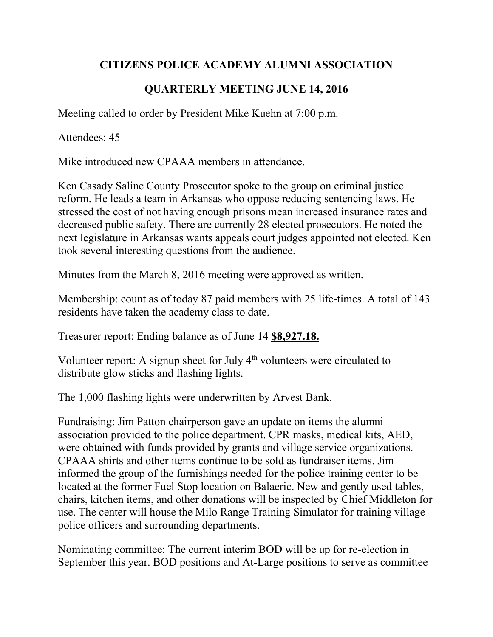## **CITIZENS POLICE ACADEMY ALUMNI ASSOCIATION**

## **QUARTERLY MEETING JUNE 14, 2016**

Meeting called to order by President Mike Kuehn at 7:00 p.m.

Attendees: 45

Mike introduced new CPAAA members in attendance.

Ken Casady Saline County Prosecutor spoke to the group on criminal justice reform. He leads a team in Arkansas who oppose reducing sentencing laws. He stressed the cost of not having enough prisons mean increased insurance rates and decreased public safety. There are currently 28 elected prosecutors. He noted the next legislature in Arkansas wants appeals court judges appointed not elected. Ken took several interesting questions from the audience.

Minutes from the March 8, 2016 meeting were approved as written.

Membership: count as of today 87 paid members with 25 life-times. A total of 143 residents have taken the academy class to date.

Treasurer report: Ending balance as of June 14 **\$8,927.18.**

Volunteer report: A signup sheet for July  $4<sup>th</sup>$  volunteers were circulated to distribute glow sticks and flashing lights.

The 1,000 flashing lights were underwritten by Arvest Bank.

Fundraising: Jim Patton chairperson gave an update on items the alumni association provided to the police department. CPR masks, medical kits, AED, were obtained with funds provided by grants and village service organizations. CPAAA shirts and other items continue to be sold as fundraiser items. Jim informed the group of the furnishings needed for the police training center to be located at the former Fuel Stop location on Balaeric. New and gently used tables, chairs, kitchen items, and other donations will be inspected by Chief Middleton for use. The center will house the Milo Range Training Simulator for training village police officers and surrounding departments.

Nominating committee: The current interim BOD will be up for re-election in September this year. BOD positions and At-Large positions to serve as committee